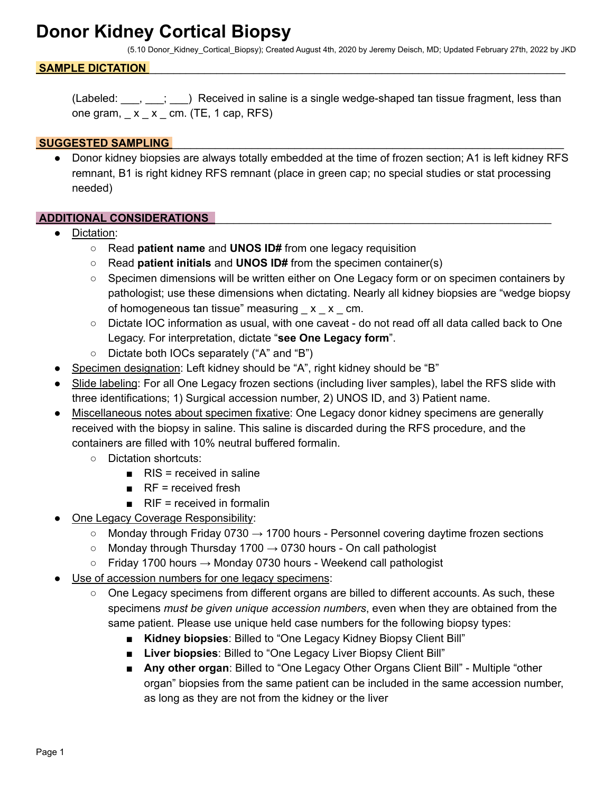## **Donor Kidney Cortical Biopsy**

(5.10 Donor\_Kidney\_Cortical\_Biopsy); Created August 4th, 2020 by Jeremy Deisch, MD; Updated February 27th, 2022 by JKD

### SAMPLE DICTATION

(Labeled: \_\_\_, \_\_\_; \_\_\_) Received in saline is a single wedge-shaped tan tissue fragment, less than one gram,  $x - x$  cm. (TE, 1 cap, RFS)

### **SUGGESTED SAMPLING**

Donor kidney biopsies are always totally embedded at the time of frozen section; A1 is left kidney RFS remnant, B1 is right kidney RFS remnant (place in green cap; no special studies or stat processing needed)

#### **ADDITIONAL CONSIDERATIONS** \_\_\_\_\_\_\_\_\_\_\_\_\_\_\_\_\_\_\_\_\_\_\_\_\_\_\_\_\_\_\_\_\_\_\_\_\_\_\_\_\_\_\_\_\_\_\_\_\_\_\_\_\_\_\_

- Dictation:
	- Read **patient name** and **UNOS ID#** from one legacy requisition
	- Read **patient initials** and **UNOS ID#** from the specimen container(s)
	- Specimen dimensions will be written either on One Legacy form or on specimen containers by pathologist; use these dimensions when dictating. Nearly all kidney biopsies are "wedge biopsy of homogeneous tan tissue" measuring  $x \times c$  cm.
	- Dictate IOC information as usual, with one caveat do not read off all data called back to One Legacy. For interpretation, dictate "**see One Legacy form**".
	- Dictate both IOCs separately ("A" and "B")
- Specimen designation: Left kidney should be "A", right kidney should be "B"
- Slide labeling: For all One Legacy frozen sections (including liver samples), label the RFS slide with three identifications; 1) Surgical accession number, 2) UNOS ID, and 3) Patient name.
- Miscellaneous notes about specimen fixative: One Legacy donor kidney specimens are generally received with the biopsy in saline. This saline is discarded during the RFS procedure, and the containers are filled with 10% neutral buffered formalin.
	- Dictation shortcuts:
		- $\blacksquare$  RIS = received in saline
		- $R =$  received fresh
		- $\blacksquare$  RIF = received in formalin
- One Legacy Coverage Responsibility:
	- $\circ$  Monday through Friday 0730  $\rightarrow$  1700 hours Personnel covering daytime frozen sections
	- $\circ$  Monday through Thursday 1700  $\rightarrow$  0730 hours On call pathologist
	- $\circ$  Friday 1700 hours  $\rightarrow$  Monday 0730 hours Weekend call pathologist
- Use of accession numbers for one legacy specimens:
	- One Legacy specimens from different organs are billed to different accounts. As such, these specimens *must be given unique accession numbers*, even when they are obtained from the same patient. Please use unique held case numbers for the following biopsy types:
		- **Kidney biopsies**: Billed to "One Legacy Kidney Biopsy Client Bill"
		- **Liver biopsies**: Billed to "One Legacy Liver Biopsy Client Bill"
		- Any other organ: Billed to "One Legacy Other Organs Client Bill" Multiple "other organ" biopsies from the same patient can be included in the same accession number, as long as they are not from the kidney or the liver